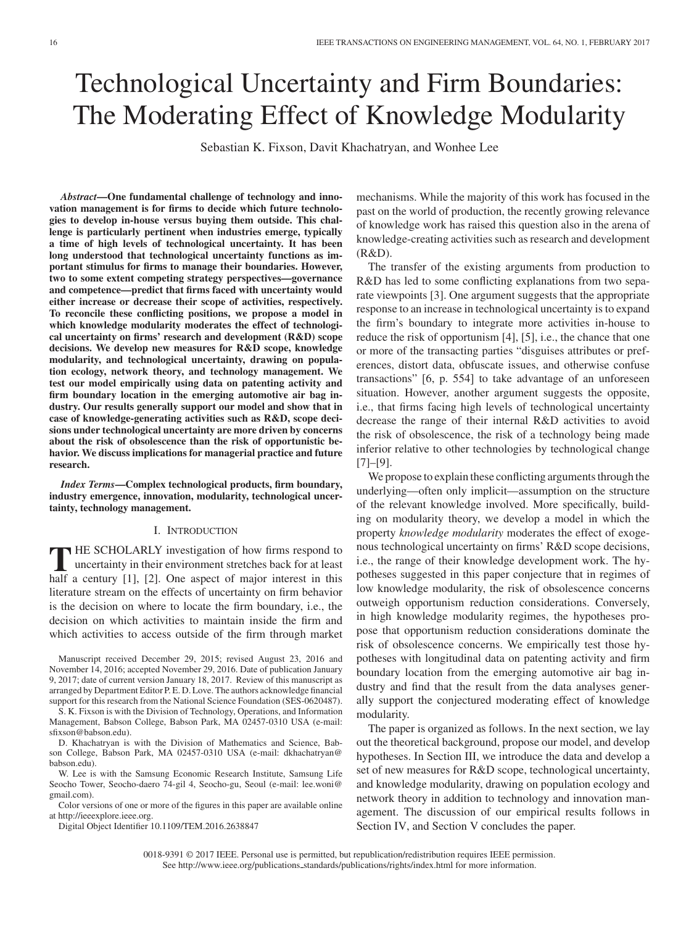# Technological Uncertainty and Firm Boundaries: The Moderating Effect of Knowledge Modularity

Sebastian K. Fixson, Davit Khachatryan, and Wonhee Lee

*Abstract***—One fundamental challenge of technology and innovation management is for firms to decide which future technologies to develop in-house versus buying them outside. This challenge is particularly pertinent when industries emerge, typically a time of high levels of technological uncertainty. It has been long understood that technological uncertainty functions as important stimulus for firms to manage their boundaries. However, two to some extent competing strategy perspectives—governance and competence—predict that firms faced with uncertainty would either increase or decrease their scope of activities, respectively. To reconcile these conflicting positions, we propose a model in which knowledge modularity moderates the effect of technological uncertainty on firms' research and development (R&D) scope decisions. We develop new measures for R&D scope, knowledge modularity, and technological uncertainty, drawing on population ecology, network theory, and technology management. We test our model empirically using data on patenting activity and firm boundary location in the emerging automotive air bag industry. Our results generally support our model and show that in case of knowledge-generating activities such as R&D, scope decisions under technological uncertainty are more driven by concerns about the risk of obsolescence than the risk of opportunistic behavior. We discuss implications for managerial practice and future research.**

*Index Terms***—Complex technological products, firm boundary, industry emergence, innovation, modularity, technological uncertainty, technology management.**

#### I. INTRODUCTION

**T** HE SCHOLARLY investigation of how firms respond to uncertainty in their environment stretches back for at least half a century [1], [2]. One aspect of major interest in this literature stream on the effects of uncertainty on firm behavior is the decision on where to locate the firm boundary, i.e., the decision on which activities to maintain inside the firm and which activities to access outside of the firm through market

S. K. Fixson is with the Division of Technology, Operations, and Information Management, Babson College, Babson Park, MA 02457-0310 USA (e-mail: sfixson@babson.edu).

W. Lee is with the Samsung Economic Research Institute, Samsung Life Seocho Tower, Seocho-daero 74-gil 4, Seocho-gu, Seoul (e-mail: lee.woni@ gmail.com).

Color versions of one or more of the figures in this paper are available online at http://ieeexplore.ieee.org.

Digital Object Identifier 10.1109/TEM.2016.2638847

mechanisms. While the majority of this work has focused in the past on the world of production, the recently growing relevance of knowledge work has raised this question also in the arena of knowledge-creating activities such as research and development (R&D).

The transfer of the existing arguments from production to R&D has led to some conflicting explanations from two separate viewpoints [3]. One argument suggests that the appropriate response to an increase in technological uncertainty is to expand the firm's boundary to integrate more activities in-house to reduce the risk of opportunism [4], [5], i.e., the chance that one or more of the transacting parties "disguises attributes or preferences, distort data, obfuscate issues, and otherwise confuse transactions" [6, p. 554] to take advantage of an unforeseen situation. However, another argument suggests the opposite, i.e., that firms facing high levels of technological uncertainty decrease the range of their internal R&D activities to avoid the risk of obsolescence, the risk of a technology being made inferior relative to other technologies by technological change [7]–[9].

We propose to explain these conflicting arguments through the underlying—often only implicit—assumption on the structure of the relevant knowledge involved. More specifically, building on modularity theory, we develop a model in which the property *knowledge modularity* moderates the effect of exogenous technological uncertainty on firms' R&D scope decisions, i.e., the range of their knowledge development work. The hypotheses suggested in this paper conjecture that in regimes of low knowledge modularity, the risk of obsolescence concerns outweigh opportunism reduction considerations. Conversely, in high knowledge modularity regimes, the hypotheses propose that opportunism reduction considerations dominate the risk of obsolescence concerns. We empirically test those hypotheses with longitudinal data on patenting activity and firm boundary location from the emerging automotive air bag industry and find that the result from the data analyses generally support the conjectured moderating effect of knowledge modularity.

The paper is organized as follows. In the next section, we lay out the theoretical background, propose our model, and develop hypotheses. In Section III, we introduce the data and develop a set of new measures for R&D scope, technological uncertainty, and knowledge modularity, drawing on population ecology and network theory in addition to technology and innovation management. The discussion of our empirical results follows in Section IV, and Section V concludes the paper.

0018-9391 © 2017 IEEE. Personal use is permitted, but republication/redistribution requires IEEE permission. See http://www.ieee.org/publications standards/publications/rights/index.html for more information.

Manuscript received December 29, 2015; revised August 23, 2016 and November 14, 2016; accepted November 29, 2016. Date of publication January 9, 2017; date of current version January 18, 2017. Review of this manuscript as arranged by Department Editor P. E. D. Love. The authors acknowledge financial support for this research from the National Science Foundation (SES-0620487).

D. Khachatryan is with the Division of Mathematics and Science, Babson College, Babson Park, MA 02457-0310 USA (e-mail: dkhachatryan@ babson.edu).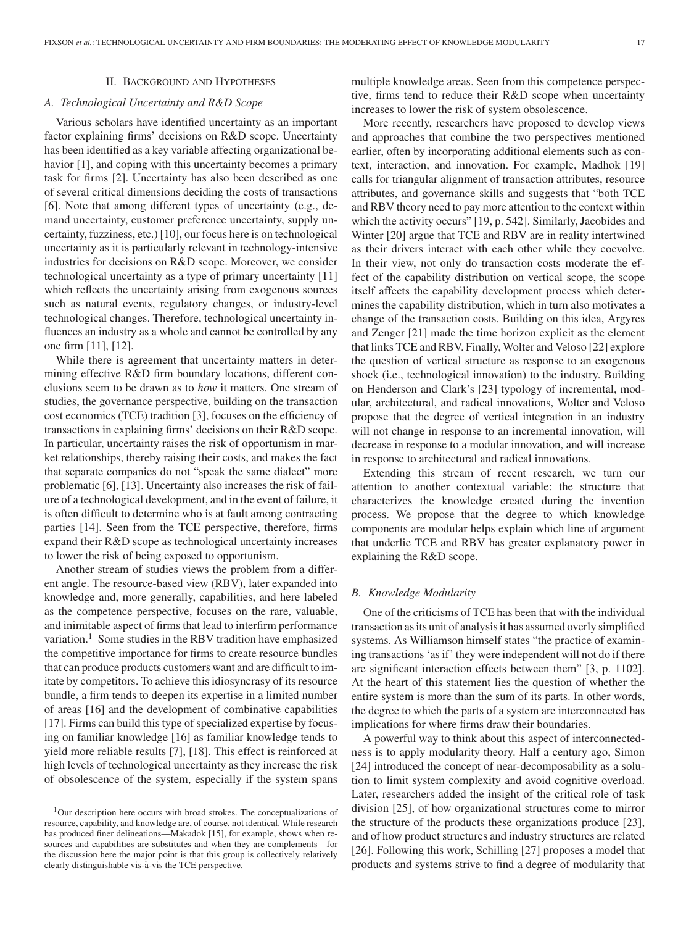#### II. BACKGROUND AND HYPOTHESES

# *A. Technological Uncertainty and R&D Scope*

Various scholars have identified uncertainty as an important factor explaining firms' decisions on R&D scope. Uncertainty has been identified as a key variable affecting organizational behavior [1], and coping with this uncertainty becomes a primary task for firms [2]. Uncertainty has also been described as one of several critical dimensions deciding the costs of transactions [6]. Note that among different types of uncertainty (e.g., demand uncertainty, customer preference uncertainty, supply uncertainty, fuzziness, etc.) [10], our focus here is on technological uncertainty as it is particularly relevant in technology-intensive industries for decisions on R&D scope. Moreover, we consider technological uncertainty as a type of primary uncertainty [11] which reflects the uncertainty arising from exogenous sources such as natural events, regulatory changes, or industry-level technological changes. Therefore, technological uncertainty influences an industry as a whole and cannot be controlled by any one firm [11], [12].

While there is agreement that uncertainty matters in determining effective R&D firm boundary locations, different conclusions seem to be drawn as to *how* it matters. One stream of studies, the governance perspective, building on the transaction cost economics (TCE) tradition [3], focuses on the efficiency of transactions in explaining firms' decisions on their R&D scope. In particular, uncertainty raises the risk of opportunism in market relationships, thereby raising their costs, and makes the fact that separate companies do not "speak the same dialect" more problematic [6], [13]. Uncertainty also increases the risk of failure of a technological development, and in the event of failure, it is often difficult to determine who is at fault among contracting parties [14]. Seen from the TCE perspective, therefore, firms expand their R&D scope as technological uncertainty increases to lower the risk of being exposed to opportunism.

Another stream of studies views the problem from a different angle. The resource-based view (RBV), later expanded into knowledge and, more generally, capabilities, and here labeled as the competence perspective, focuses on the rare, valuable, and inimitable aspect of firms that lead to interfirm performance variation.<sup>1</sup> Some studies in the RBV tradition have emphasized the competitive importance for firms to create resource bundles that can produce products customers want and are difficult to imitate by competitors. To achieve this idiosyncrasy of its resource bundle, a firm tends to deepen its expertise in a limited number of areas [16] and the development of combinative capabilities [17]. Firms can build this type of specialized expertise by focusing on familiar knowledge [16] as familiar knowledge tends to yield more reliable results [7], [18]. This effect is reinforced at high levels of technological uncertainty as they increase the risk of obsolescence of the system, especially if the system spans

multiple knowledge areas. Seen from this competence perspective, firms tend to reduce their R&D scope when uncertainty increases to lower the risk of system obsolescence.

More recently, researchers have proposed to develop views and approaches that combine the two perspectives mentioned earlier, often by incorporating additional elements such as context, interaction, and innovation. For example, Madhok [19] calls for triangular alignment of transaction attributes, resource attributes, and governance skills and suggests that "both TCE and RBV theory need to pay more attention to the context within which the activity occurs" [19, p. 542]. Similarly, Jacobides and Winter [20] argue that TCE and RBV are in reality intertwined as their drivers interact with each other while they coevolve. In their view, not only do transaction costs moderate the effect of the capability distribution on vertical scope, the scope itself affects the capability development process which determines the capability distribution, which in turn also motivates a change of the transaction costs. Building on this idea, Argyres and Zenger [21] made the time horizon explicit as the element that links TCE and RBV. Finally, Wolter and Veloso [22] explore the question of vertical structure as response to an exogenous shock (i.e., technological innovation) to the industry. Building on Henderson and Clark's [23] typology of incremental, modular, architectural, and radical innovations, Wolter and Veloso propose that the degree of vertical integration in an industry will not change in response to an incremental innovation, will decrease in response to a modular innovation, and will increase in response to architectural and radical innovations.

Extending this stream of recent research, we turn our attention to another contextual variable: the structure that characterizes the knowledge created during the invention process. We propose that the degree to which knowledge components are modular helps explain which line of argument that underlie TCE and RBV has greater explanatory power in explaining the R&D scope.

# *B. Knowledge Modularity*

One of the criticisms of TCE has been that with the individual transaction as its unit of analysis it has assumed overly simplified systems. As Williamson himself states "the practice of examining transactions 'as if' they were independent will not do if there are significant interaction effects between them" [3, p. 1102]. At the heart of this statement lies the question of whether the entire system is more than the sum of its parts. In other words, the degree to which the parts of a system are interconnected has implications for where firms draw their boundaries.

A powerful way to think about this aspect of interconnectedness is to apply modularity theory. Half a century ago, Simon [24] introduced the concept of near-decomposability as a solution to limit system complexity and avoid cognitive overload. Later, researchers added the insight of the critical role of task division [25], of how organizational structures come to mirror the structure of the products these organizations produce [23], and of how product structures and industry structures are related [26]. Following this work, Schilling [27] proposes a model that products and systems strive to find a degree of modularity that

<sup>1</sup>Our description here occurs with broad strokes. The conceptualizations of resource, capability, and knowledge are, of course, not identical. While research has produced finer delineations—Makadok [15], for example, shows when resources and capabilities are substitutes and when they are complements—for the discussion here the major point is that this group is collectively relatively clearly distinguishable vis-a-vis the TCE perspective. `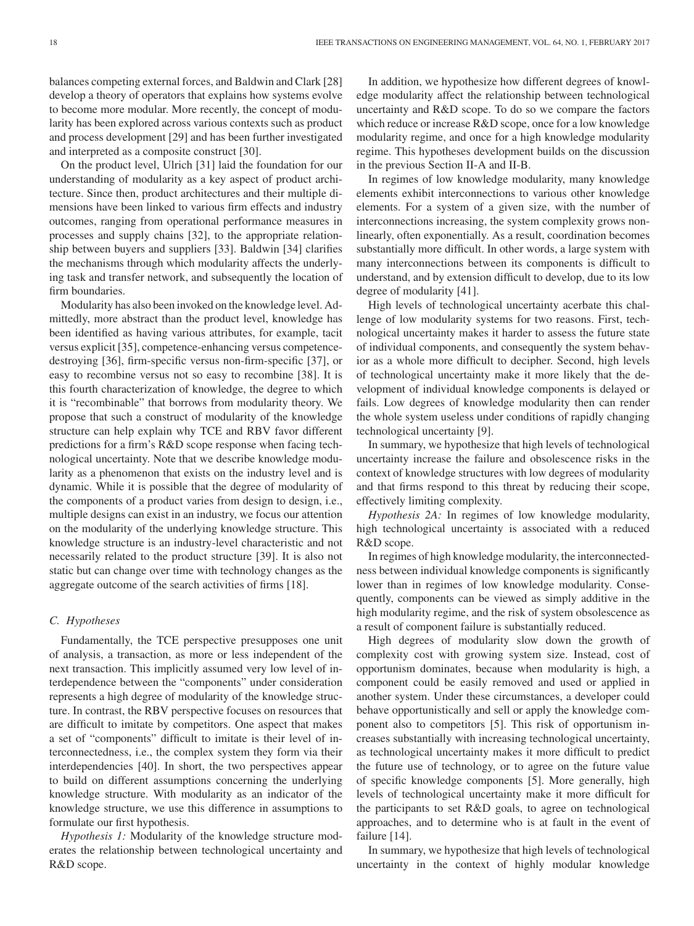18 IEEE TRANSACTIONS ON ENGINEERING MANAGEMENT, VOL. 64, NO. 1, FEBRUARY 2017

balances competing external forces, and Baldwin and Clark [28] develop a theory of operators that explains how systems evolve to become more modular. More recently, the concept of modularity has been explored across various contexts such as product and process development [29] and has been further investigated and interpreted as a composite construct [30].

On the product level, Ulrich [31] laid the foundation for our understanding of modularity as a key aspect of product architecture. Since then, product architectures and their multiple dimensions have been linked to various firm effects and industry outcomes, ranging from operational performance measures in processes and supply chains [32], to the appropriate relationship between buyers and suppliers [33]. Baldwin [34] clarifies the mechanisms through which modularity affects the underlying task and transfer network, and subsequently the location of firm boundaries.

Modularity has also been invoked on the knowledge level. Admittedly, more abstract than the product level, knowledge has been identified as having various attributes, for example, tacit versus explicit [35], competence-enhancing versus competencedestroying [36], firm-specific versus non-firm-specific [37], or easy to recombine versus not so easy to recombine [38]. It is this fourth characterization of knowledge, the degree to which it is "recombinable" that borrows from modularity theory. We propose that such a construct of modularity of the knowledge structure can help explain why TCE and RBV favor different predictions for a firm's R&D scope response when facing technological uncertainty. Note that we describe knowledge modularity as a phenomenon that exists on the industry level and is dynamic. While it is possible that the degree of modularity of the components of a product varies from design to design, i.e., multiple designs can exist in an industry, we focus our attention on the modularity of the underlying knowledge structure. This knowledge structure is an industry-level characteristic and not necessarily related to the product structure [39]. It is also not static but can change over time with technology changes as the aggregate outcome of the search activities of firms [18].

## *C. Hypotheses*

Fundamentally, the TCE perspective presupposes one unit of analysis, a transaction, as more or less independent of the next transaction. This implicitly assumed very low level of interdependence between the "components" under consideration represents a high degree of modularity of the knowledge structure. In contrast, the RBV perspective focuses on resources that are difficult to imitate by competitors. One aspect that makes a set of "components" difficult to imitate is their level of interconnectedness, i.e., the complex system they form via their interdependencies [40]. In short, the two perspectives appear to build on different assumptions concerning the underlying knowledge structure. With modularity as an indicator of the knowledge structure, we use this difference in assumptions to formulate our first hypothesis.

*Hypothesis 1:* Modularity of the knowledge structure moderates the relationship between technological uncertainty and R&D scope.

In addition, we hypothesize how different degrees of knowledge modularity affect the relationship between technological uncertainty and R&D scope. To do so we compare the factors which reduce or increase R&D scope, once for a low knowledge modularity regime, and once for a high knowledge modularity regime. This hypotheses development builds on the discussion in the previous Section II-A and II-B.

In regimes of low knowledge modularity, many knowledge elements exhibit interconnections to various other knowledge elements. For a system of a given size, with the number of interconnections increasing, the system complexity grows nonlinearly, often exponentially. As a result, coordination becomes substantially more difficult. In other words, a large system with many interconnections between its components is difficult to understand, and by extension difficult to develop, due to its low degree of modularity [41].

High levels of technological uncertainty acerbate this challenge of low modularity systems for two reasons. First, technological uncertainty makes it harder to assess the future state of individual components, and consequently the system behavior as a whole more difficult to decipher. Second, high levels of technological uncertainty make it more likely that the development of individual knowledge components is delayed or fails. Low degrees of knowledge modularity then can render the whole system useless under conditions of rapidly changing technological uncertainty [9].

In summary, we hypothesize that high levels of technological uncertainty increase the failure and obsolescence risks in the context of knowledge structures with low degrees of modularity and that firms respond to this threat by reducing their scope, effectively limiting complexity.

*Hypothesis 2A:* In regimes of low knowledge modularity, high technological uncertainty is associated with a reduced R&D scope.

In regimes of high knowledge modularity, the interconnectedness between individual knowledge components is significantly lower than in regimes of low knowledge modularity. Consequently, components can be viewed as simply additive in the high modularity regime, and the risk of system obsolescence as a result of component failure is substantially reduced.

High degrees of modularity slow down the growth of complexity cost with growing system size. Instead, cost of opportunism dominates, because when modularity is high, a component could be easily removed and used or applied in another system. Under these circumstances, a developer could behave opportunistically and sell or apply the knowledge component also to competitors [5]. This risk of opportunism increases substantially with increasing technological uncertainty, as technological uncertainty makes it more difficult to predict the future use of technology, or to agree on the future value of specific knowledge components [5]. More generally, high levels of technological uncertainty make it more difficult for the participants to set R&D goals, to agree on technological approaches, and to determine who is at fault in the event of failure [14].

In summary, we hypothesize that high levels of technological uncertainty in the context of highly modular knowledge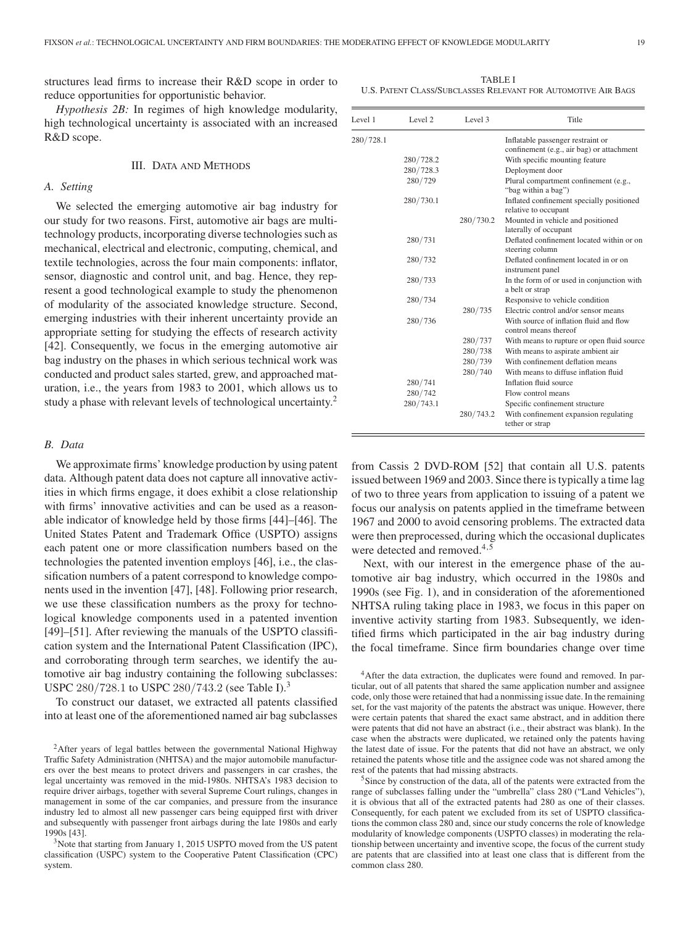structures lead firms to increase their R&D scope in order to reduce opportunities for opportunistic behavior.

*Hypothesis 2B:* In regimes of high knowledge modularity, high technological uncertainty is associated with an increased R&D scope.

#### III. DATA AND METHODS

# *A. Setting*

We selected the emerging automotive air bag industry for our study for two reasons. First, automotive air bags are multitechnology products, incorporating diverse technologies such as mechanical, electrical and electronic, computing, chemical, and textile technologies, across the four main components: inflator, sensor, diagnostic and control unit, and bag. Hence, they represent a good technological example to study the phenomenon of modularity of the associated knowledge structure. Second, emerging industries with their inherent uncertainty provide an appropriate setting for studying the effects of research activity [42]. Consequently, we focus in the emerging automotive air bag industry on the phases in which serious technical work was conducted and product sales started, grew, and approached maturation, i.e., the years from 1983 to 2001, which allows us to study a phase with relevant levels of technological uncertainty.<sup>2</sup>

## *B. Data*

We approximate firms' knowledge production by using patent data. Although patent data does not capture all innovative activities in which firms engage, it does exhibit a close relationship with firms' innovative activities and can be used as a reasonable indicator of knowledge held by those firms [44]–[46]. The United States Patent and Trademark Office (USPTO) assigns each patent one or more classification numbers based on the technologies the patented invention employs [46], i.e., the classification numbers of a patent correspond to knowledge components used in the invention [47], [48]. Following prior research, we use these classification numbers as the proxy for technological knowledge components used in a patented invention [49]–[51]. After reviewing the manuals of the USPTO classification system and the International Patent Classification (IPC), and corroborating through term searches, we identify the automotive air bag industry containing the following subclasses: USPC 280/728.1 to USPC 280/743.2 (see Table I).<sup>3</sup>

To construct our dataset, we extracted all patents classified into at least one of the aforementioned named air bag subclasses

TABLE I U.S. PATENT CLASS/SUBCLASSES RELEVANT FOR AUTOMOTIVE AIR BAGS

| Level 1   | Level <sub>2</sub> | Level 3   | Title                                                             |
|-----------|--------------------|-----------|-------------------------------------------------------------------|
| 280/728.1 |                    |           | Inflatable passenger restraint or                                 |
|           |                    |           | confinement (e.g., air bag) or attachment                         |
|           | 280/728.2          |           | With specific mounting feature                                    |
|           | 280/728.3          |           | Deployment door                                                   |
|           | 280/729            |           | Plural compartment confinement (e.g.,<br>"bag within a bag")      |
|           | 280/730.1          |           | Inflated confinement specially positioned<br>relative to occupant |
|           |                    | 280/730.2 | Mounted in vehicle and positioned<br>laterally of occupant        |
|           | 280/731            |           | Deflated confinement located within or on<br>steering column      |
|           | 280/732            |           | Deflated confinement located in or on<br>instrument panel         |
|           | 280/733            |           | In the form of or used in conjunction with<br>a belt or strap     |
|           | 280/734            |           | Responsive to vehicle condition                                   |
|           |                    | 280/735   | Electric control and/or sensor means                              |
|           | 280/736            |           | With source of inflation fluid and flow<br>control means thereof  |
|           |                    | 280/737   | With means to rupture or open fluid source                        |
|           |                    | 280/738   | With means to aspirate ambient air                                |
|           |                    | 280/739   | With confinement deflation means                                  |
|           |                    | 280/740   | With means to diffuse inflation fluid                             |
|           | 280/741            |           | Inflation fluid source                                            |
|           | 280/742            |           | Flow control means                                                |
|           | 280/743.1          |           | Specific confinement structure                                    |
|           |                    | 280/743.2 | With confinement expansion regulating<br>tether or strap          |
|           |                    |           |                                                                   |

from Cassis 2 DVD-ROM [52] that contain all U.S. patents issued between 1969 and 2003. Since there is typically a time lag of two to three years from application to issuing of a patent we focus our analysis on patents applied in the timeframe between 1967 and 2000 to avoid censoring problems. The extracted data were then preprocessed, during which the occasional duplicates were detected and removed.<sup>4,5</sup>

Next, with our interest in the emergence phase of the automotive air bag industry, which occurred in the 1980s and 1990s (see Fig. 1), and in consideration of the aforementioned NHTSA ruling taking place in 1983, we focus in this paper on inventive activity starting from 1983. Subsequently, we identified firms which participated in the air bag industry during the focal timeframe. Since firm boundaries change over time

<sup>&</sup>lt;sup>2</sup>After years of legal battles between the governmental National Highway Traffic Safety Administration (NHTSA) and the major automobile manufacturers over the best means to protect drivers and passengers in car crashes, the legal uncertainty was removed in the mid-1980s. NHTSA's 1983 decision to require driver airbags, together with several Supreme Court rulings, changes in management in some of the car companies, and pressure from the insurance industry led to almost all new passenger cars being equipped first with driver and subsequently with passenger front airbags during the late 1980s and early 1990s [43]. 3Note that starting from January 1, 2015 USPTO moved from the US patent

classification (USPC) system to the Cooperative Patent Classification (CPC) system.

<sup>&</sup>lt;sup>4</sup>After the data extraction, the duplicates were found and removed. In particular, out of all patents that shared the same application number and assignee code, only those were retained that had a nonmissing issue date. In the remaining set, for the vast majority of the patents the abstract was unique. However, there were certain patents that shared the exact same abstract, and in addition there were patents that did not have an abstract (i.e., their abstract was blank). In the case when the abstracts were duplicated, we retained only the patents having the latest date of issue. For the patents that did not have an abstract, we only retained the patents whose title and the assignee code was not shared among the rest of the patents that had missing abstracts.<br><sup>5</sup>Since by construction of the data, all of the patents were extracted from the

range of subclasses falling under the "umbrella" class 280 ("Land Vehicles"), it is obvious that all of the extracted patents had 280 as one of their classes. Consequently, for each patent we excluded from its set of USPTO classifications the common class 280 and, since our study concerns the role of knowledge modularity of knowledge components (USPTO classes) in moderating the relationship between uncertainty and inventive scope, the focus of the current study are patents that are classified into at least one class that is different from the common class 280.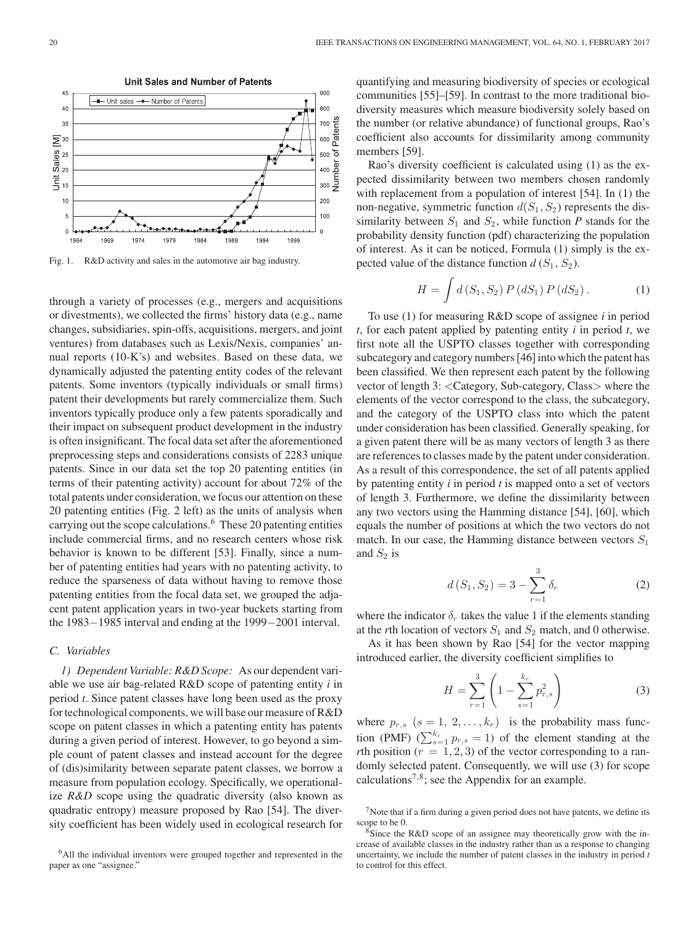

Fig. 1. R&D activity and sales in the automotive air bag industry.

through a variety of processes (e.g., mergers and acquisitions or divestments), we collected the firms' history data (e.g., name changes, subsidiaries, spin-offs, acquisitions, mergers, and joint ventures) from databases such as Lexis/Nexis, companies' annual reports (10-K's) and websites. Based on these data, we dynamically adjusted the patenting entity codes of the relevant patents. Some inventors (typically individuals or small firms) patent their developments but rarely commercialize them. Such inventors typically produce only a few patents sporadically and their impact on subsequent product development in the industry is often insignificant. The focal data set after the aforementioned preprocessing steps and considerations consists of 2283 unique patents. Since in our data set the top 20 patenting entities (in terms of their patenting activity) account for about 72% of the total patents under consideration, we focus our attention on these 20 patenting entities (Fig. 2 left) as the units of analysis when carrying out the scope calculations.<sup>6</sup> These 20 patenting entities include commercial firms, and no research centers whose risk behavior is known to be different [53]. Finally, since a number of patenting entities had years with no patenting activity, to reduce the sparseness of data without having to remove those patenting entities from the focal data set, we grouped the adjacent patent application years in two-year buckets starting from the 1983−1985 interval and ending at the 1999−2001 interval.

# *C. Variables*

*1) Dependent Variable: R&D Scope:* As our dependent variable we use air bag-related R&D scope of patenting entity *i* in period *t*. Since patent classes have long been used as the proxy for technological components, we will base our measure of R&D scope on patent classes in which a patenting entity has patents during a given period of interest. However, to go beyond a simple count of patent classes and instead account for the degree of (dis)similarity between separate patent classes, we borrow a measure from population ecology. Specifically, we operationalize *R&D* scope using the quadratic diversity (also known as quadratic entropy) measure proposed by Rao [54]. The diversity coefficient has been widely used in ecological research for quantifying and measuring biodiversity of species or ecological communities [55]–[59]. In contrast to the more traditional biodiversity measures which measure biodiversity solely based on the number (or relative abundance) of functional groups, Rao's coefficient also accounts for dissimilarity among community members [59].

Rao's diversity coefficient is calculated using (1) as the expected dissimilarity between two members chosen randomly with replacement from a population of interest [54]. In (1) the non-negative, symmetric function  $d(S_1, S_2)$  represents the dissimilarity between  $S_1$  and  $S_2$ , while function P stands for the probability density function (pdf) characterizing the population of interest. As it can be noticed, Formula (1) simply is the expected value of the distance function  $d(S_1, S_2)$ .

$$
H = \int d(S_1, S_2) P(dS_1) P(dS_2).
$$
 (1)

To use (1) for measuring R&D scope of assignee *i* in period *t*, for each patent applied by patenting entity *i* in period *t*, we first note all the USPTO classes together with corresponding subcategory and category numbers [46] into which the patent has been classified. We then represent each patent by the following vector of length 3: <Category, Sub-category, Class> where the elements of the vector correspond to the class, the subcategory, and the category of the USPTO class into which the patent under consideration has been classified. Generally speaking, for a given patent there will be as many vectors of length 3 as there are references to classes made by the patent under consideration. As a result of this correspondence, the set of all patents applied by patenting entity *i* in period *t* is mapped onto a set of vectors of length 3. Furthermore, we define the dissimilarity between any two vectors using the Hamming distance [54], [60], which equals the number of positions at which the two vectors do not match. In our case, the Hamming distance between vectors  $S_1$ and  $S_2$  is

$$
d(S_1, S_2) = 3 - \sum_{r=1}^{3} \delta_r
$$
 (2)

where the indicator  $\delta_r$  takes the value 1 if the elements standing at the *r*th location of vectors  $S_1$  and  $S_2$  match, and 0 otherwise.

As it has been shown by Rao [54] for the vector mapping introduced earlier, the diversity coefficient simplifies to

$$
H = \sum_{r=1}^{3} \left( 1 - \sum_{s=1}^{k_r} p_{r,s}^2 \right)
$$
 (3)

where  $p_{r,s}$   $(s = 1, 2, \ldots, k_r)$  is the probability mass function (PMF)  $(\sum_{s=1}^{k_r} p_{r,s} = 1)$  of the element standing at the *rth* position ( $r = 1, 2, 3$ ) of the vector corresponding to a randomly selected patent. Consequently, we will use (3) for scope calculations<sup>7,8</sup>; see the Appendix for an example.

<sup>&</sup>lt;sup>6</sup>All the individual inventors were grouped together and represented in the paper as one "assignee."

 $<sup>7</sup>$ Note that if a firm during a given period does not have patents, we define its scope to be 0.</sup>

 $8$ Since the R&D scope of an assignee may theoretically grow with the increase of available classes in the industry rather than as a response to changing uncertainty, we include the number of patent classes in the industry in period *t* to control for this effect.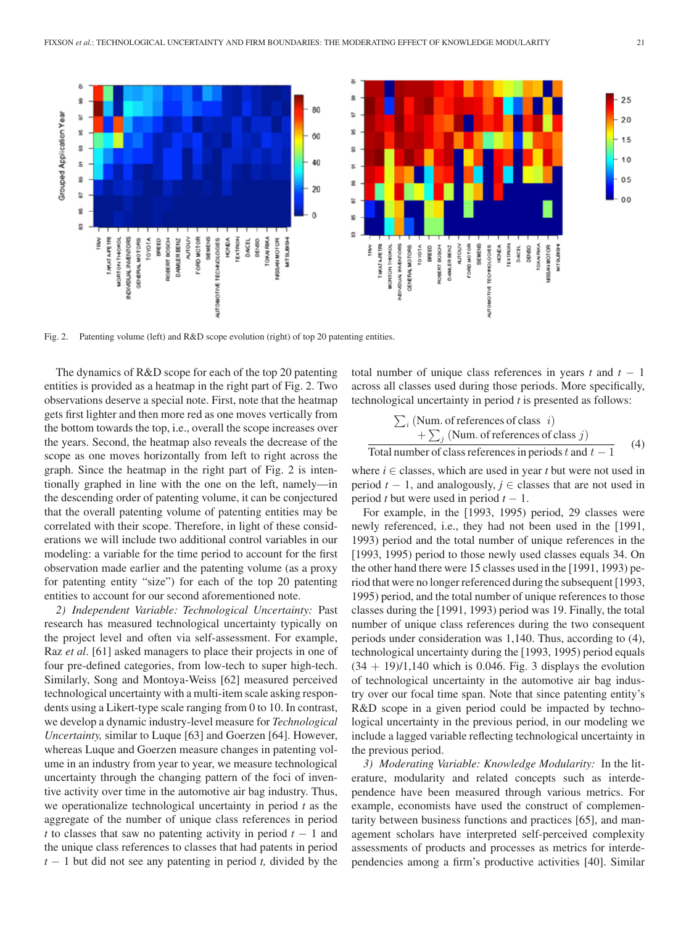

Fig. 2. Patenting volume (left) and R&D scope evolution (right) of top 20 patenting entities.

The dynamics of R&D scope for each of the top 20 patenting entities is provided as a heatmap in the right part of Fig. 2. Two observations deserve a special note. First, note that the heatmap gets first lighter and then more red as one moves vertically from the bottom towards the top, i.e., overall the scope increases over the years. Second, the heatmap also reveals the decrease of the scope as one moves horizontally from left to right across the graph. Since the heatmap in the right part of Fig. 2 is intentionally graphed in line with the one on the left, namely—in the descending order of patenting volume, it can be conjectured that the overall patenting volume of patenting entities may be correlated with their scope. Therefore, in light of these considerations we will include two additional control variables in our modeling: a variable for the time period to account for the first observation made earlier and the patenting volume (as a proxy for patenting entity "size") for each of the top 20 patenting entities to account for our second aforementioned note.

*2) Independent Variable: Technological Uncertainty:* Past research has measured technological uncertainty typically on the project level and often via self-assessment. For example, Raz *et al*. [61] asked managers to place their projects in one of four pre-defined categories, from low-tech to super high-tech. Similarly, Song and Montoya-Weiss [62] measured perceived technological uncertainty with a multi-item scale asking respondents using a Likert-type scale ranging from 0 to 10. In contrast, we develop a dynamic industry-level measure for *Technological Uncertainty,* similar to Luque [63] and Goerzen [64]. However, whereas Luque and Goerzen measure changes in patenting volume in an industry from year to year, we measure technological uncertainty through the changing pattern of the foci of inventive activity over time in the automotive air bag industry. Thus, we operationalize technological uncertainty in period *t* as the aggregate of the number of unique class references in period *t* to classes that saw no patenting activity in period *t* − 1 and the unique class references to classes that had patents in period *t* − 1 but did not see any patenting in period *t,* divided by the

total number of unique class references in years  $t$  and  $t - 1$ across all classes used during those periods. More specifically, technological uncertainty in period *t* is presented as follows:

$$
\sum_{i} (\text{Num. of references of class } i)
$$
  
+
$$
\sum_{j} (\text{Num. of references of class } j)
$$
  
Total number of class references in periods *t* and *t* – 1 (4)

where  $i \in$  classes, which are used in year  $t$  but were not used in period  $t - 1$ , and analogously,  $j \in$  classes that are not used in period *t* but were used in period  $t - 1$ .

For example, in the [1993, 1995) period, 29 classes were newly referenced, i.e., they had not been used in the [1991, 1993) period and the total number of unique references in the [1993, 1995) period to those newly used classes equals 34. On the other hand there were 15 classes used in the [1991, 1993) period that were no longer referenced during the subsequent [1993, 1995) period, and the total number of unique references to those classes during the [1991, 1993) period was 19. Finally, the total number of unique class references during the two consequent periods under consideration was 1,140. Thus, according to (4), technological uncertainty during the [1993, 1995) period equals  $(34 + 19)/1,140$  which is 0.046. Fig. 3 displays the evolution of technological uncertainty in the automotive air bag industry over our focal time span. Note that since patenting entity's R&D scope in a given period could be impacted by technological uncertainty in the previous period, in our modeling we include a lagged variable reflecting technological uncertainty in the previous period.

*3) Moderating Variable: Knowledge Modularity:* In the literature, modularity and related concepts such as interdependence have been measured through various metrics. For example, economists have used the construct of complementarity between business functions and practices [65], and management scholars have interpreted self-perceived complexity assessments of products and processes as metrics for interdependencies among a firm's productive activities [40]. Similar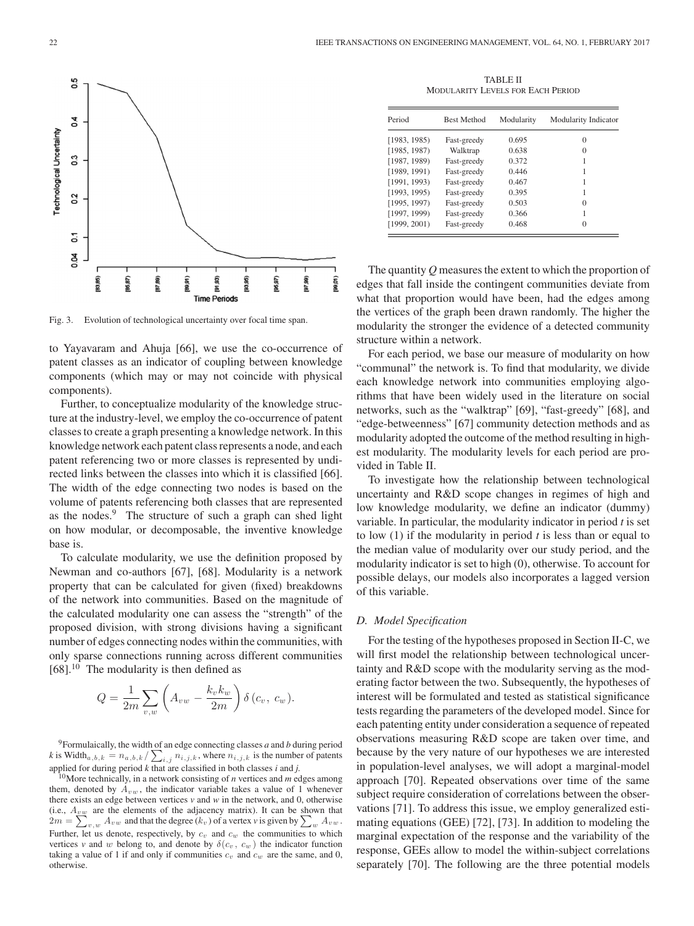

Fig. 3. Evolution of technological uncertainty over focal time span.

to Yayavaram and Ahuja [66], we use the co-occurrence of patent classes as an indicator of coupling between knowledge components (which may or may not coincide with physical components).

Further, to conceptualize modularity of the knowledge structure at the industry-level, we employ the co-occurrence of patent classes to create a graph presenting a knowledge network. In this knowledge network each patent class represents a node, and each patent referencing two or more classes is represented by undirected links between the classes into which it is classified [66]. The width of the edge connecting two nodes is based on the volume of patents referencing both classes that are represented as the nodes.<sup>9</sup> The structure of such a graph can shed light on how modular, or decomposable, the inventive knowledge base is.

To calculate modularity, we use the definition proposed by Newman and co-authors [67], [68]. Modularity is a network property that can be calculated for given (fixed) breakdowns of the network into communities. Based on the magnitude of the calculated modularity one can assess the "strength" of the proposed division, with strong divisions having a significant number of edges connecting nodes within the communities, with only sparse connections running across different communities  $[68]$ .<sup>10</sup> The modularity is then defined as

$$
Q = \frac{1}{2m} \sum_{v,w} \left( A_{vw} - \frac{k_v k_w}{2m} \right) \delta(c_v, c_w).
$$

9Formulaically, the width of an edge connecting classes *a* and *b* during period *k* is Width $_{a,b,k} = n_{a,b,k} / \sum_{i,j} n_{i,j,k}$ , where  $n_{i,j,k}$  is the number of patents applied for during period  $k$  that are classified in both classes  $i$  and  $j$ .<br><sup>10</sup>More technically, in a network consisting of  $n$  vertices and  $m$  edges among

them, denoted by  $A_{vw}$ , the indicator variable takes a value of 1 whenever there exists an edge between vertices  $v$  and  $w$  in the network, and 0, otherwise (i.e.,  $A_{vw}$  are the elements of the adjacency matrix). It can be shown that  $2m = \sum$  $v, w A v w$  and that the degree  $(k_v)$  of a vertex *v* is given by  $\sum_{w} A_{vw}$ . Further, let us denote, respectively, by  $c_v$  and  $c_w$  the communities to which vertices *v* and *w* belong to, and denote by  $\delta(c_v, c_w)$  the indicator function taking a value of 1 if and only if communities  $c_v$  and  $c_w$  are the same, and 0, otherwise.

TABLE II MODULARITY LEVELS FOR EACH PERIOD

| Period       | <b>Best Method</b> | Modularity | Modularity Indicator |
|--------------|--------------------|------------|----------------------|
| [1983, 1985] | Fast-greedy        | 0.695      | $\theta$             |
| [1985, 1987) | Walktrap           | 0.638      | $\theta$             |
| [1987, 1989] | Fast-greedy        | 0.372      |                      |
| [1989, 1991] | Fast-greedy        | 0.446      |                      |
| [1991, 1993] | Fast-greedy        | 0.467      | 1                    |
| [1993, 1995] | Fast-greedy        | 0.395      |                      |
| [1995, 1997) | Fast-greedy        | 0.503      | 0                    |
| [1997, 1999] | Fast-greedy        | 0.366      |                      |
| [1999, 2001] | Fast-greedy        | 0.468      | $\Omega$             |

The quantity *Q* measures the extent to which the proportion of edges that fall inside the contingent communities deviate from what that proportion would have been, had the edges among the vertices of the graph been drawn randomly. The higher the modularity the stronger the evidence of a detected community structure within a network.

For each period, we base our measure of modularity on how "communal" the network is. To find that modularity, we divide each knowledge network into communities employing algorithms that have been widely used in the literature on social networks, such as the "walktrap" [69], "fast-greedy" [68], and "edge-betweenness" [67] community detection methods and as modularity adopted the outcome of the method resulting in highest modularity. The modularity levels for each period are provided in Table II.

To investigate how the relationship between technological uncertainty and R&D scope changes in regimes of high and low knowledge modularity, we define an indicator (dummy) variable. In particular, the modularity indicator in period *t* is set to low (1) if the modularity in period *t* is less than or equal to the median value of modularity over our study period, and the modularity indicator is set to high (0), otherwise. To account for possible delays, our models also incorporates a lagged version of this variable.

# *D. Model Specification*

For the testing of the hypotheses proposed in Section II-C, we will first model the relationship between technological uncertainty and R&D scope with the modularity serving as the moderating factor between the two. Subsequently, the hypotheses of interest will be formulated and tested as statistical significance tests regarding the parameters of the developed model. Since for each patenting entity under consideration a sequence of repeated observations measuring R&D scope are taken over time, and because by the very nature of our hypotheses we are interested in population-level analyses, we will adopt a marginal-model approach [70]. Repeated observations over time of the same subject require consideration of correlations between the observations [71]. To address this issue, we employ generalized estimating equations (GEE) [72], [73]. In addition to modeling the marginal expectation of the response and the variability of the response, GEEs allow to model the within-subject correlations separately [70]. The following are the three potential models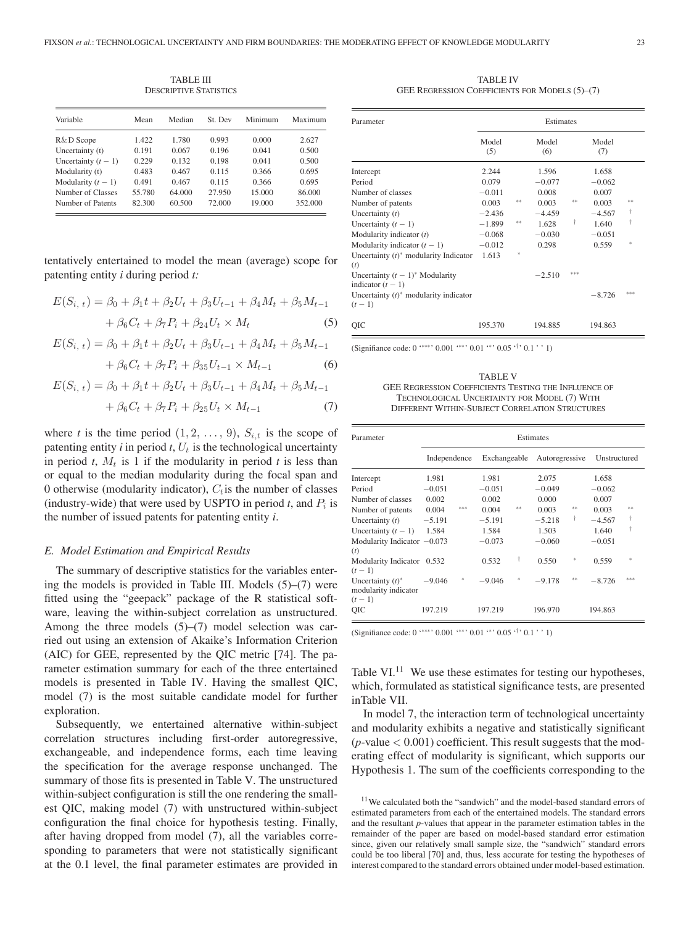TABLE III DESCRIPTIVE STATISTICS

| Variable              | Mean   | Median | St Dev | Minimum | Maximum |
|-----------------------|--------|--------|--------|---------|---------|
| R&D Scope             | 1.422  | 1.780  | 0.993  | 0.000   | 2.627   |
| Uncertainty (t)       | 0.191  | 0.067  | 0.196  | 0.041   | 0.500   |
| Uncertainty $(t - 1)$ | 0.229  | 0.132  | 0.198  | 0.041   | 0.500   |
| Modularity (t)        | 0.483  | 0.467  | 0.115  | 0.366   | 0.695   |
| Modularity $(t - 1)$  | 0.491  | 0.467  | 0.115  | 0.366   | 0.695   |
| Number of Classes     | 55.780 | 64.000 | 27.950 | 15.000  | 86.000  |
| Number of Patents     | 82.300 | 60.500 | 72.000 | 19.000  | 352.000 |

tentatively entertained to model the mean (average) scope for patenting entity *i* during period *t:*

$$
E(S_{i, t}) = \beta_0 + \beta_1 t + \beta_2 U_t + \beta_3 U_{t-1} + \beta_4 M_t + \beta_5 M_{t-1} + \beta_6 C_t + \beta_7 P_i + \beta_{24} U_t \times M_t
$$
 (5)

$$
E(S_{i, t}) = \beta_0 + \beta_1 t + \beta_2 U_t + \beta_3 U_{t-1} + \beta_4 M_t + \beta_5 M_{t-1}
$$

$$
+\beta_6 C_t + \beta_7 P_i + \beta_{35} U_{t-1} \times M_{t-1} \tag{6}
$$

$$
E(S_{i, t}) = \beta_0 + \beta_1 t + \beta_2 U_t + \beta_3 U_{t-1} + \beta_4 M_t + \beta_5 M_{t-1} + \beta_6 C_t + \beta_7 P_i + \beta_{25} U_t \times M_{t-1}
$$
 (7)

where *t* is the time period  $(1, 2, \ldots, 9)$ ,  $S_{i,t}$  is the scope of patenting entity  $i$  in period  $t$ ,  $U_t$  is the technological uncertainty in period *t*,  $M_t$  is 1 if the modularity in period *t* is less than or equal to the median modularity during the focal span and 0 otherwise (modularity indicator),  $C_t$  is the number of classes (industry-wide) that were used by USPTO in period  $t$ , and  $P_i$  is the number of issued patents for patenting entity *i*.

#### *E. Model Estimation and Empirical Results*

The summary of descriptive statistics for the variables entering the models is provided in Table III. Models (5)–(7) were fitted using the "geepack" package of the R statistical software, leaving the within-subject correlation as unstructured. Among the three models (5)–(7) model selection was carried out using an extension of Akaike's Information Criterion (AIC) for GEE, represented by the QIC metric [74]. The parameter estimation summary for each of the three entertained models is presented in Table IV. Having the smallest QIC, model (7) is the most suitable candidate model for further exploration.

Subsequently, we entertained alternative within-subject correlation structures including first-order autoregressive, exchangeable, and independence forms, each time leaving the specification for the average response unchanged. The summary of those fits is presented in Table V. The unstructured within-subject configuration is still the one rendering the smallest QIC, making model (7) with unstructured within-subject configuration the final choice for hypothesis testing. Finally, after having dropped from model (7), all the variables corresponding to parameters that were not statistically significant at the 0.1 level, the final parameter estimates are provided in

TABLE IV GEE REGRESSION COEFFICIENTS FOR MODELS (5)–(7)

| Parameter                                                        | Estimates    |    |              |     |              |        |
|------------------------------------------------------------------|--------------|----|--------------|-----|--------------|--------|
|                                                                  | Model<br>(5) |    | Model<br>(6) |     | Model<br>(7) |        |
| Intercept                                                        | 2.244        |    | 1.596        |     | 1.658        |        |
| Period                                                           | 0.079        |    | $-0.077$     |     | $-0.062$     |        |
| Number of classes                                                | $-0.011$     |    | 0.008        |     | 0.007        |        |
| Number of patents                                                | 0.003        | ** | 0.003        | **  | 0.003        | **     |
| Uncertainty $(t)$                                                | $-2.436$     |    | $-4.459$     |     | $-4.567$     | t      |
| Uncertainty $(t - 1)$                                            | $-1.899$     | ** | 1.628        | t   | 1.640        | t      |
| Modularity indicator $(t)$                                       | $-0.068$     |    | $-0.030$     |     | $-0.051$     |        |
| Modularity indicator $(t - 1)$                                   | $-0.012$     |    | 0.298        |     | 0.559        | $\ast$ |
| Uncertainty $(t)$ <sup>*</sup> modularity Indicator<br>(t)       | 1.613        | *. |              |     |              |        |
| Uncertainty $(t-1)^*$ Modularity<br>indicator $(t - 1)$          |              |    | $-2.510$     | *** |              |        |
| Uncertainty $(t)$ <sup>*</sup> modularity indicator<br>$(t - 1)$ |              |    |              |     | $-8.726$     | ***    |
| QIC                                                              | 195.370      |    | 194.885      |     | 194.863      |        |

(Signifiance code: 0 '∗∗∗' 0.001 '∗∗' 0.01 '∗' 0.05 '†' 0.1 ' ' 1)

TABLE V GEE REGRESSION COEFFICIENTS TESTING THE INFLUENCE OF TECHNOLOGICAL UNCERTAINTY FOR MODEL (7) WITH DIFFERENT WITHIN-SUBJECT CORRELATION STRUCTURES

| Parameter                                              |              |     | Estimates    |    |                |     |              |        |
|--------------------------------------------------------|--------------|-----|--------------|----|----------------|-----|--------------|--------|
|                                                        | Independence |     | Exchangeable |    | Autoregressive |     | Unstructured |        |
| Intercept                                              | 1.981        |     | 1.981        |    | 2.075          |     | 1.658        |        |
| Period                                                 | $-0.051$     |     | $-0.051$     |    | $-0.049$       |     | $-0.062$     |        |
| Number of classes                                      | 0.002        |     | 0.002        |    | 0.000          |     | 0.007        |        |
| Number of patents                                      | 0.004        | *** | 0.004        | ** | 0.003          | **  | 0.003        | **     |
| Uncertainty $(t)$                                      | $-5.191$     |     | $-5.191$     |    | $-5.218$       | t   | $-4.567$     | t      |
| Uncertainty $(t-1)$                                    | 1.584        |     | 1.584        |    | 1.503          |     | 1.640        | t      |
| Modularity Indicator $-0.073$<br>(t)                   |              |     | $-0.073$     |    | $-0.060$       |     | $-0.051$     |        |
| Modularity Indicator<br>$(t-1)$                        | 0.532        |     | 0.532        | t  | 0.550          | $*$ | 0.559        | $\ast$ |
| Uncertainty $(t)^*$<br>modularity indicator<br>$(t-1)$ | $-9.046$     |     | $-9.046$     | *  | $-9.178$       | **  | $-8.726$     | ***    |
| QIC                                                    | 197.219      |     | 197.219      |    | 196.970        |     | 194.863      |        |

(Signifiance code: 0 '∗∗∗' 0.001 '∗∗' 0.01 '∗' 0.05 '†' 0.1 ' ' 1)

Table  $VI^{11}$  We use these estimates for testing our hypotheses, which, formulated as statistical significance tests, are presented inTable VII.

In model 7, the interaction term of technological uncertainty and modularity exhibits a negative and statistically significant  $(p$ -value  $< 0.001$ ) coefficient. This result suggests that the moderating effect of modularity is significant, which supports our Hypothesis 1. The sum of the coefficients corresponding to the

<sup>11</sup>We calculated both the "sandwich" and the model-based standard errors of estimated parameters from each of the entertained models. The standard errors and the resultant *p*-values that appear in the parameter estimation tables in the remainder of the paper are based on model-based standard error estimation since, given our relatively small sample size, the "sandwich" standard errors could be too liberal [70] and, thus, less accurate for testing the hypotheses of interest compared to the standard errors obtained under model-based estimation.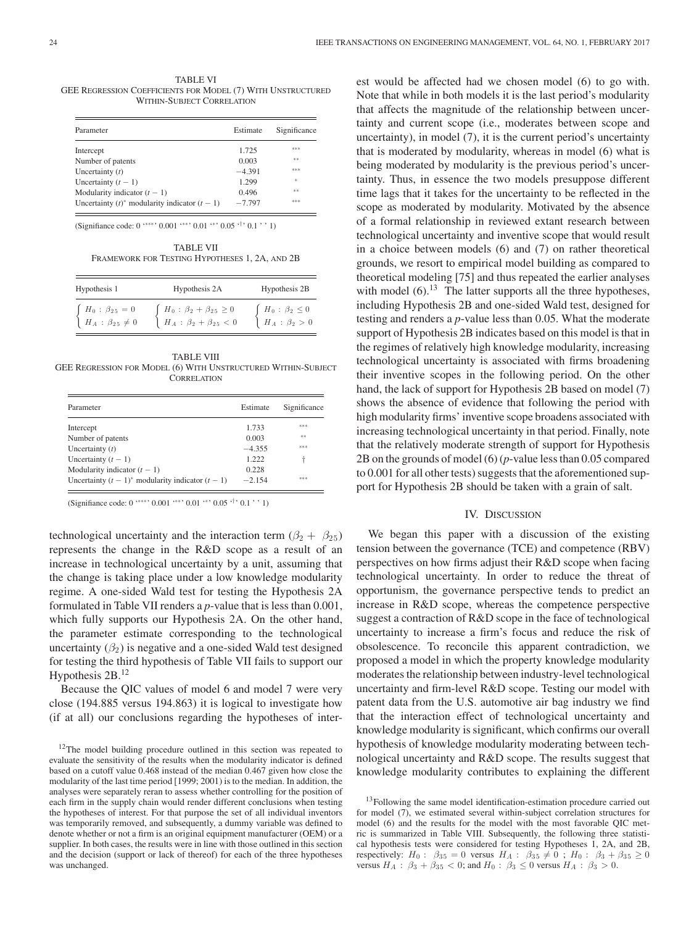TABLE VI GEE REGRESSION COEFFICIENTS FOR MODEL (7) WITH UNSTRUCTURED WITHIN-SUBJECT CORRELATION

| Parameter                                        | Estimate | Significance |
|--------------------------------------------------|----------|--------------|
| Intercept                                        | 1.725    | ***          |
| Number of patents                                | 0.003    | **           |
| Uncertainty $(t)$                                | $-4.391$ | ***          |
| Uncertainty $(t - 1)$                            | 1.299    | $\ast$       |
| Modularity indicator $(t - 1)$                   | 0.496    | **           |
| Uncertainty $(t)^*$ modularity indicator $(t-1)$ | $-7.797$ | ***          |

(Signifiance code: 0 '∗∗∗' 0.001 '∗∗' 0.01 '∗' 0.05 '†' 0.1 ' ' 1)

TABLE VII FRAMEWORK FOR TESTING HYPOTHESES 1, 2A, AND 2B

| Hypothesis 1                                                                                         | Hypothesis 2A                                                                                                                                     | Hypothesis 2B                                                                                  |
|------------------------------------------------------------------------------------------------------|---------------------------------------------------------------------------------------------------------------------------------------------------|------------------------------------------------------------------------------------------------|
| $\left\{ \begin{array}{l} H_0 : \, \beta_{25} = 0 \\ H_A : \, \beta_{25} \neq 0 \end{array} \right.$ | $\left\{ \begin{array}{l} H_0 \, : \, \beta_2 + \beta_{2 \, 5} \, \ge \, 0 \\ H_A \, : \, \beta_2 + \beta_{2 \, 5} \, < \, 0 \end{array} \right.$ | $\left\{ \begin{array}{l} H_0\,:\,\beta_2\,\leq 0\\ H_A\,:\,\beta_2\,>\,0 \end{array} \right.$ |

TABLE VIII GEE REGRESSION FOR MODEL (6) WITH UNSTRUCTURED WITHIN-SUBJECT **CORRELATION** 

| Parameter                                          | Estimate | Significance |
|----------------------------------------------------|----------|--------------|
| Intercept                                          | 1.733    | ***          |
| Number of patents                                  | 0.003    | $* *$        |
| Uncertainty $(t)$                                  | $-4.355$ | ***          |
| Uncertainty $(t - 1)$                              | 1222     |              |
| Modularity indicator $(t - 1)$                     | 0.228    |              |
| Uncertainty $(t-1)^*$ modularity indicator $(t-1)$ | $-2.154$ | ***          |

(Signifiance code: 0 '∗∗∗' 0.001 '∗∗' 0.01 '∗' 0.05 '†' 0.1 ' ' 1)

technological uncertainty and the interaction term  $(\beta_2 + \beta_{25})$ represents the change in the R&D scope as a result of an increase in technological uncertainty by a unit, assuming that the change is taking place under a low knowledge modularity regime. A one-sided Wald test for testing the Hypothesis 2A formulated in Table VII renders a *p*-value that is less than 0.001, which fully supports our Hypothesis 2A. On the other hand, the parameter estimate corresponding to the technological uncertainty  $(\beta_2)$  is negative and a one-sided Wald test designed for testing the third hypothesis of Table VII fails to support our Hypothesis 2B.<sup>12</sup>

Because the QIC values of model 6 and model 7 were very close (194.885 versus 194.863) it is logical to investigate how (if at all) our conclusions regarding the hypotheses of interest would be affected had we chosen model (6) to go with. Note that while in both models it is the last period's modularity that affects the magnitude of the relationship between uncertainty and current scope (i.e., moderates between scope and uncertainty), in model  $(7)$ , it is the current period's uncertainty that is moderated by modularity, whereas in model (6) what is being moderated by modularity is the previous period's uncertainty. Thus, in essence the two models presuppose different time lags that it takes for the uncertainty to be reflected in the scope as moderated by modularity. Motivated by the absence of a formal relationship in reviewed extant research between technological uncertainty and inventive scope that would result in a choice between models (6) and (7) on rather theoretical grounds, we resort to empirical model building as compared to theoretical modeling [75] and thus repeated the earlier analyses with model  $(6)$ .<sup>13</sup> The latter supports all the three hypotheses, including Hypothesis 2B and one-sided Wald test, designed for testing and renders a *p*-value less than 0.05. What the moderate support of Hypothesis 2B indicates based on this model is that in the regimes of relatively high knowledge modularity, increasing technological uncertainty is associated with firms broadening their inventive scopes in the following period. On the other hand, the lack of support for Hypothesis 2B based on model (7) shows the absence of evidence that following the period with high modularity firms' inventive scope broadens associated with increasing technological uncertainty in that period. Finally, note that the relatively moderate strength of support for Hypothesis 2B on the grounds of model (6) (*p*-value less than 0.05 compared to 0.001 for all other tests) suggests that the aforementioned support for Hypothesis 2B should be taken with a grain of salt.

### IV. DISCUSSION

We began this paper with a discussion of the existing tension between the governance (TCE) and competence (RBV) perspectives on how firms adjust their R&D scope when facing technological uncertainty. In order to reduce the threat of opportunism, the governance perspective tends to predict an increase in R&D scope, whereas the competence perspective suggest a contraction of R&D scope in the face of technological uncertainty to increase a firm's focus and reduce the risk of obsolescence. To reconcile this apparent contradiction, we proposed a model in which the property knowledge modularity moderates the relationship between industry-level technological uncertainty and firm-level R&D scope. Testing our model with patent data from the U.S. automotive air bag industry we find that the interaction effect of technological uncertainty and knowledge modularity is significant, which confirms our overall hypothesis of knowledge modularity moderating between technological uncertainty and R&D scope. The results suggest that knowledge modularity contributes to explaining the different

 $12$ The model building procedure outlined in this section was repeated to evaluate the sensitivity of the results when the modularity indicator is defined based on a cutoff value 0.468 instead of the median 0.467 given how close the modularity of the last time period [1999; 2001) is to the median. In addition, the analyses were separately reran to assess whether controlling for the position of each firm in the supply chain would render different conclusions when testing the hypotheses of interest. For that purpose the set of all individual inventors was temporarily removed, and subsequently, a dummy variable was defined to denote whether or not a firm is an original equipment manufacturer (OEM) or a supplier. In both cases, the results were in line with those outlined in this section and the decision (support or lack of thereof) for each of the three hypotheses was unchanged.

<sup>&</sup>lt;sup>13</sup>Following the same model identification-estimation procedure carried out for model (7), we estimated several within-subject correlation structures for model (6) and the results for the model with the most favorable QIC metric is summarized in Table VIII. Subsequently, the following three statistical hypothesis tests were considered for testing Hypotheses 1, 2A, and 2B, respectively:  $H_0$ :  $\beta_{35} = 0$  versus  $H_A$ :  $\beta_{35} \neq 0$ ;  $H_0$ :  $\beta_3 + \beta_{35} \geq 0$ versus  $H_A$ :  $\beta_3 + \beta_{35} < 0$ ; and  $H_0$ :  $\beta_3 \le 0$  versus  $H_A$ :  $\beta_3 > 0$ .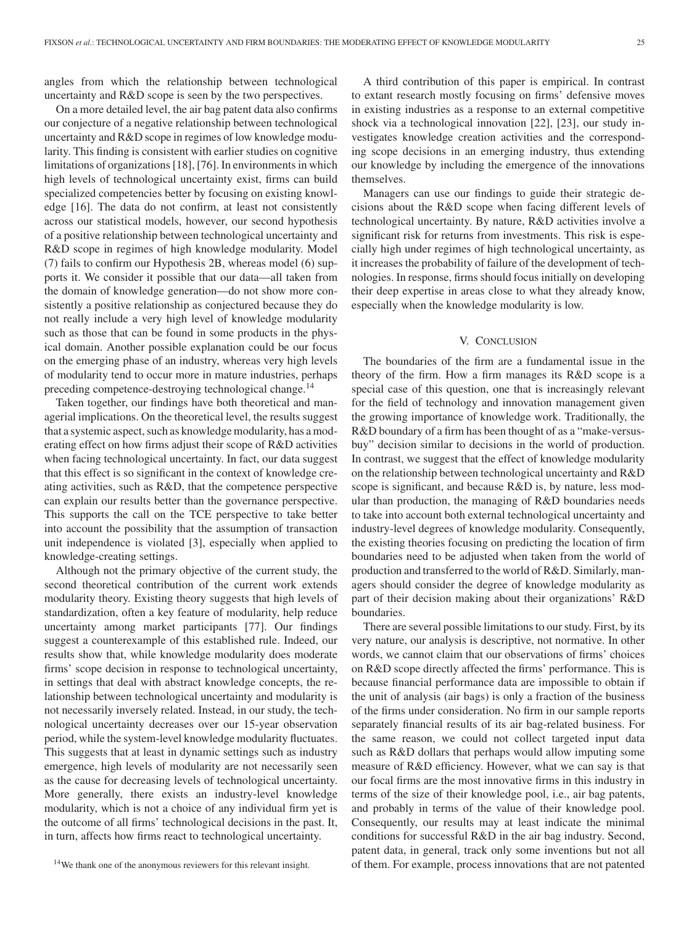angles from which the relationship between technological uncertainty and R&D scope is seen by the two perspectives.

On a more detailed level, the air bag patent data also confirms our conjecture of a negative relationship between technological uncertainty and R&D scope in regimes of low knowledge modularity. This finding is consistent with earlier studies on cognitive limitations of organizations [18], [76]. In environments in which high levels of technological uncertainty exist, firms can build specialized competencies better by focusing on existing knowledge [16]. The data do not confirm, at least not consistently across our statistical models, however, our second hypothesis of a positive relationship between technological uncertainty and R&D scope in regimes of high knowledge modularity. Model (7) fails to confirm our Hypothesis 2B, whereas model (6) supports it. We consider it possible that our data—all taken from the domain of knowledge generation—do not show more consistently a positive relationship as conjectured because they do not really include a very high level of knowledge modularity such as those that can be found in some products in the physical domain. Another possible explanation could be our focus on the emerging phase of an industry, whereas very high levels of modularity tend to occur more in mature industries, perhaps preceding competence-destroying technological change.<sup>14</sup>

Taken together, our findings have both theoretical and managerial implications. On the theoretical level, the results suggest that a systemic aspect, such as knowledge modularity, has a moderating effect on how firms adjust their scope of R&D activities when facing technological uncertainty. In fact, our data suggest that this effect is so significant in the context of knowledge creating activities, such as R&D, that the competence perspective can explain our results better than the governance perspective. This supports the call on the TCE perspective to take better into account the possibility that the assumption of transaction unit independence is violated [3], especially when applied to knowledge-creating settings.

Although not the primary objective of the current study, the second theoretical contribution of the current work extends modularity theory. Existing theory suggests that high levels of standardization, often a key feature of modularity, help reduce uncertainty among market participants [77]. Our findings suggest a counterexample of this established rule. Indeed, our results show that, while knowledge modularity does moderate firms' scope decision in response to technological uncertainty, in settings that deal with abstract knowledge concepts, the relationship between technological uncertainty and modularity is not necessarily inversely related. Instead, in our study, the technological uncertainty decreases over our 15-year observation period, while the system-level knowledge modularity fluctuates. This suggests that at least in dynamic settings such as industry emergence, high levels of modularity are not necessarily seen as the cause for decreasing levels of technological uncertainty. More generally, there exists an industry-level knowledge modularity, which is not a choice of any individual firm yet is the outcome of all firms' technological decisions in the past. It, in turn, affects how firms react to technological uncertainty.

A third contribution of this paper is empirical. In contrast to extant research mostly focusing on firms' defensive moves in existing industries as a response to an external competitive shock via a technological innovation [22], [23], our study investigates knowledge creation activities and the corresponding scope decisions in an emerging industry, thus extending our knowledge by including the emergence of the innovations themselves.

Managers can use our findings to guide their strategic decisions about the R&D scope when facing different levels of technological uncertainty. By nature, R&D activities involve a significant risk for returns from investments. This risk is especially high under regimes of high technological uncertainty, as it increases the probability of failure of the development of technologies. In response, firms should focus initially on developing their deep expertise in areas close to what they already know, especially when the knowledge modularity is low.

# V. CONCLUSION

The boundaries of the firm are a fundamental issue in the theory of the firm. How a firm manages its R&D scope is a special case of this question, one that is increasingly relevant for the field of technology and innovation management given the growing importance of knowledge work. Traditionally, the R&D boundary of a firm has been thought of as a "make-versusbuy" decision similar to decisions in the world of production. In contrast, we suggest that the effect of knowledge modularity on the relationship between technological uncertainty and R&D scope is significant, and because R&D is, by nature, less modular than production, the managing of R&D boundaries needs to take into account both external technological uncertainty and industry-level degrees of knowledge modularity. Consequently, the existing theories focusing on predicting the location of firm boundaries need to be adjusted when taken from the world of production and transferred to the world of R&D. Similarly, managers should consider the degree of knowledge modularity as part of their decision making about their organizations' R&D boundaries.

There are several possible limitations to our study. First, by its very nature, our analysis is descriptive, not normative. In other words, we cannot claim that our observations of firms' choices on R&D scope directly affected the firms' performance. This is because financial performance data are impossible to obtain if the unit of analysis (air bags) is only a fraction of the business of the firms under consideration. No firm in our sample reports separately financial results of its air bag-related business. For the same reason, we could not collect targeted input data such as R&D dollars that perhaps would allow imputing some measure of R&D efficiency. However, what we can say is that our focal firms are the most innovative firms in this industry in terms of the size of their knowledge pool, i.e., air bag patents, and probably in terms of the value of their knowledge pool. Consequently, our results may at least indicate the minimal conditions for successful R&D in the air bag industry. Second, patent data, in general, track only some inventions but not all of them. For example, process innovations that are not patented

<sup>&</sup>lt;sup>14</sup>We thank one of the anonymous reviewers for this relevant insight.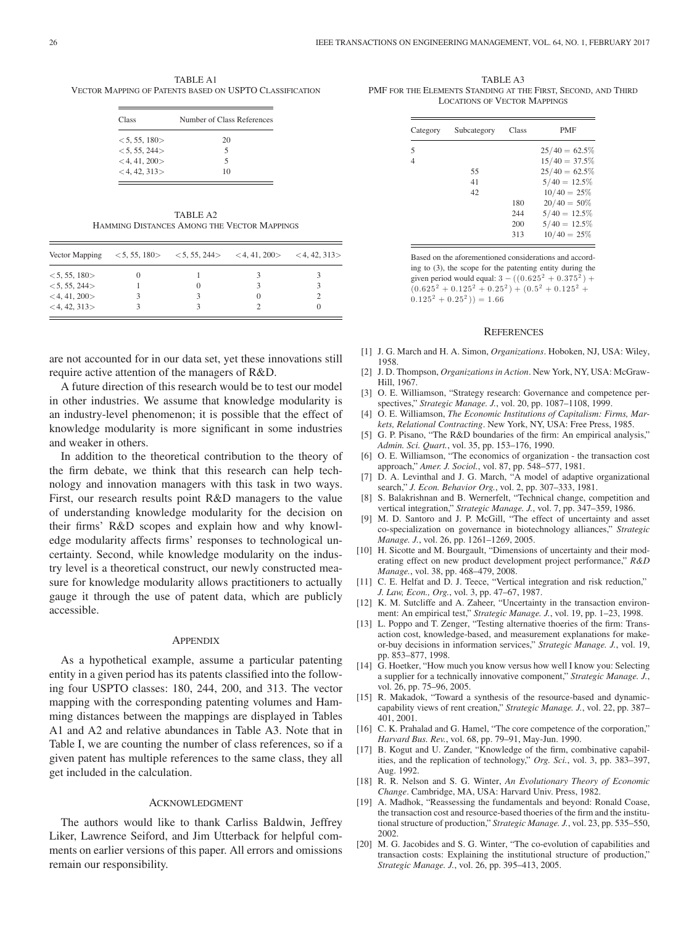TABLE A1 VECTOR MAPPING OF PATENTS BASED ON USPTO CLASSIFICATION

| Class              | Number of Class References |
|--------------------|----------------------------|
| < 5, 55, 180       | 20                         |
| < 5, 55, 244       | 5                          |
| $<$ 4, 41, 200 $>$ | 5                          |
| $<$ 4, 42, 313 $>$ | 10                         |

TABLE A2 HAMMING DISTANCES AMONG THE VECTOR MAPPINGS

| Vector Mapping     | $\langle 5, 55, 180 \rangle$ $\langle 5, 55, 244 \rangle$ $\langle 4, 41, 200 \rangle$ $\langle 4, 42, 313 \rangle$ |  |
|--------------------|---------------------------------------------------------------------------------------------------------------------|--|
| < 5, 55, 180       |                                                                                                                     |  |
| < 5, 55, 244       | O                                                                                                                   |  |
| $<$ 4, 41, 200 $>$ |                                                                                                                     |  |
| $<$ 4, 42, 313 $>$ |                                                                                                                     |  |

are not accounted for in our data set, yet these innovations still require active attention of the managers of R&D.

A future direction of this research would be to test our model in other industries. We assume that knowledge modularity is an industry-level phenomenon; it is possible that the effect of knowledge modularity is more significant in some industries and weaker in others.

In addition to the theoretical contribution to the theory of the firm debate, we think that this research can help technology and innovation managers with this task in two ways. First, our research results point R&D managers to the value of understanding knowledge modularity for the decision on their firms' R&D scopes and explain how and why knowledge modularity affects firms' responses to technological uncertainty. Second, while knowledge modularity on the industry level is a theoretical construct, our newly constructed measure for knowledge modularity allows practitioners to actually gauge it through the use of patent data, which are publicly accessible.

#### **APPENDIX**

As a hypothetical example, assume a particular patenting entity in a given period has its patents classified into the following four USPTO classes: 180, 244, 200, and 313. The vector mapping with the corresponding patenting volumes and Hamming distances between the mappings are displayed in Tables A1 and A2 and relative abundances in Table A3. Note that in Table I, we are counting the number of class references, so if a given patent has multiple references to the same class, they all get included in the calculation.

### ACKNOWLEDGMENT

The authors would like to thank Carliss Baldwin, Jeffrey Liker, Lawrence Seiford, and Jim Utterback for helpful comments on earlier versions of this paper. All errors and omissions remain our responsibility.

TABLE A3 PMF FOR THE ELEMENTS STANDING AT THE FIRST, SECOND, AND THIRD LOCATIONS OF VECTOR MAPPINGS

| Category | Subcategory | Class | <b>PMF</b>       |
|----------|-------------|-------|------------------|
| 5        |             |       | $25/40 = 62.5\%$ |
|          |             |       | $15/40 = 37.5\%$ |
|          | 55          |       | $25/40 = 62.5\%$ |
|          | 41          |       | $5/40 = 12.5\%$  |
|          | 42          |       | $10/40 = 25\%$   |
|          |             | 180   | $20/40 = 50\%$   |
|          |             | 244   | $5/40 = 12.5\%$  |
|          |             | 200   | $5/40 = 12.5\%$  |
|          |             | 313   | $10/40 = 25\%$   |

Based on the aforementioned considerations and according to (3), the scope for the patenting entity during the given period would equal:  $3 - ((0.625^2 + 0.375^2) +$  $(0.625<sup>2</sup> + 0.125<sup>2</sup> + 0.25<sup>2</sup>) + (0.5<sup>2</sup> + 0.125<sup>2</sup> +$  $0.125^2 + 0.25^2$ ) = 1.66

#### **REFERENCES**

- [1] J. G. March and H. A. Simon, *Organizations*. Hoboken, NJ, USA: Wiley, 1958.
- [2] J. D. Thompson, *Organizations in Action*. New York, NY, USA: McGraw-Hill, 1967.
- [3] O. E. Williamson, "Strategy research: Governance and competence perspectives," *Strategic Manage. J.*, vol. 20, pp. 1087–1108, 1999.
- [4] O. E. Williamson, *The Economic Institutions of Capitalism: Firms, Markets, Relational Contracting*. New York, NY, USA: Free Press, 1985.
- [5] G. P. Pisano, "The R&D boundaries of the firm: An empirical analysis," *Admin. Sci. Quart.*, vol. 35, pp. 153–176, 1990.
- [6] O. E. Williamson, "The economics of organization the transaction cost approach," *Amer. J. Sociol.*, vol. 87, pp. 548–577, 1981.
- [7] D. A. Levinthal and J. G. March, "A model of adaptive organizational search," *J. Econ. Behavior Org.*, vol. 2, pp. 307–333, 1981.
- [8] S. Balakrishnan and B. Wernerfelt, "Technical change, competition and vertical integration," *Strategic Manage. J.*, vol. 7, pp. 347–359, 1986.
- [9] M. D. Santoro and J. P. McGill, "The effect of uncertainty and asset co-specialization on governance in biotechnology alliances," *Strategic Manage. J.*, vol. 26, pp. 1261–1269, 2005.
- [10] H. Sicotte and M. Bourgault, "Dimensions of uncertainty and their moderating effect on new product development project performance," *R&D Manage.*, vol. 38, pp. 468–479, 2008.
- [11] C. E. Helfat and D. J. Teece, "Vertical integration and risk reduction," *J. Law, Econ., Org.*, vol. 3, pp. 47–67, 1987.
- [12] K. M. Sutcliffe and A. Zaheer, "Uncertainty in the transaction environment: An empirical test," *Strategic Manage. J.*, vol. 19, pp. 1–23, 1998.
- [13] L. Poppo and T. Zenger, "Testing alternative thoeries of the firm: Transaction cost, knowledge-based, and measurement explanations for makeor-buy decisions in information services," *Strategic Manage. J.*, vol. 19, pp. 853–877, 1998.
- [14] G. Hoetker, "How much you know versus how well I know you: Selecting a supplier for a technically innovative component," *Strategic Manage. J.*, vol. 26, pp. 75–96, 2005.
- [15] R. Makadok, "Toward a synthesis of the resource-based and dynamiccapability views of rent creation," *Strategic Manage. J.*, vol. 22, pp. 387– 401, 2001.
- [16] C. K. Prahalad and G. Hamel, "The core competence of the corporation," *Harvard Bus. Rev.*, vol. 68, pp. 79–91, May-Jun. 1990.
- [17] B. Kogut and U. Zander, "Knowledge of the firm, combinative capabilities, and the replication of technology," *Org. Sci.*, vol. 3, pp. 383–397, Aug. 1992.
- [18] R. R. Nelson and S. G. Winter, *An Evolutionary Theory of Economic Change*. Cambridge, MA, USA: Harvard Univ. Press, 1982.
- [19] A. Madhok, "Reassessing the fundamentals and beyond: Ronald Coase, the transaction cost and resource-based thoeries of the firm and the institutional structure of production," *Strategic Manage. J.*, vol. 23, pp. 535–550, 2002.
- [20] M. G. Jacobides and S. G. Winter, "The co-evolution of capabilities and transaction costs: Explaining the institutional structure of production," *Strategic Manage. J.*, vol. 26, pp. 395–413, 2005.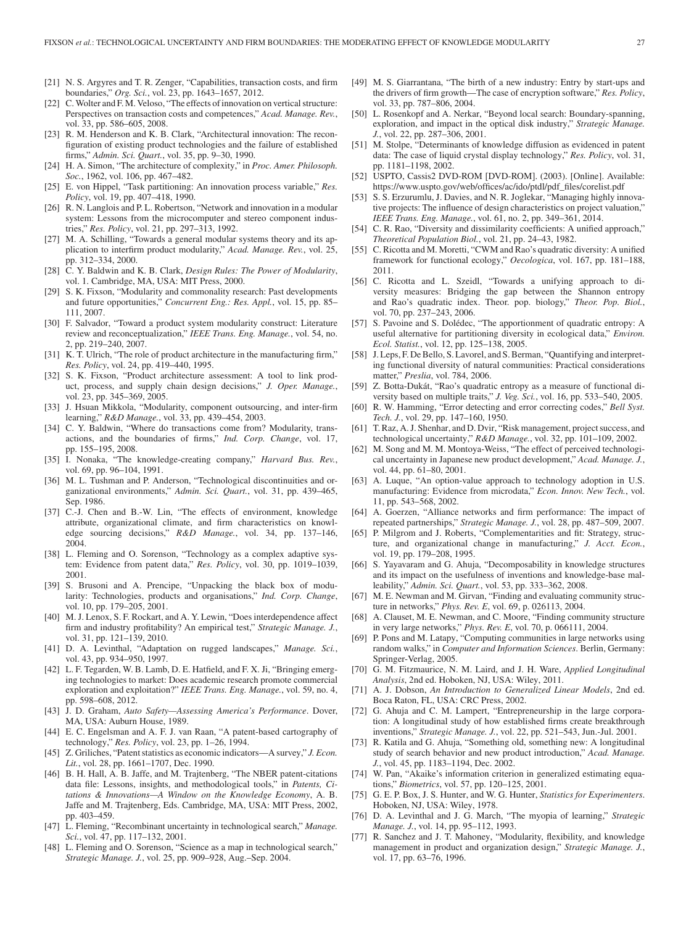- [21] N. S. Argyres and T. R. Zenger, "Capabilities, transaction costs, and firm boundaries," *Org. Sci.*, vol. 23, pp. 1643–1657, 2012.
- [22] C. Wolter and F. M. Veloso, "The effects of innovation on vertical structure: Perspectives on transaction costs and competences," *Acad. Manage. Rev.*, vol. 33, pp. 586–605, 2008.
- [23] R. M. Henderson and K. B. Clark, "Architectural innovation: The reconfiguration of existing product technologies and the failure of established firms," *Admin. Sci. Quart.*, vol. 35, pp. 9–30, 1990.
- [24] H. A. Simon, "The architecture of complexity," in *Proc. Amer. Philosoph. Soc.*, 1962, vol. 106, pp. 467–482.
- [25] E. von Hippel, "Task partitioning: An innovation process variable," *Res. Policy*, vol. 19, pp. 407–418, 1990.
- [26] R. N. Langlois and P. L. Robertson, "Network and innovation in a modular system: Lessons from the microcomputer and stereo component industries," *Res. Policy*, vol. 21, pp. 297–313, 1992.
- [27] M. A. Schilling, "Towards a general modular systems theory and its application to interfirm product modularity," *Acad. Manage. Rev.*, vol. 25, pp. 312–334, 2000.
- [28] C. Y. Baldwin and K. B. Clark, *Design Rules: The Power of Modularity*, vol. 1. Cambridge, MA, USA: MIT Press, 2000.
- [29] S. K. Fixson, "Modularity and commonality research: Past developments and future opportunities," *Concurrent Eng.: Res. Appl.*, vol. 15, pp. 85– 111, 2007.
- [30] F. Salvador, "Toward a product system modularity construct: Literature review and reconceptualization," *IEEE Trans. Eng. Manage.*, vol. 54, no. 2, pp. 219–240, 2007.
- [31] K. T. Ulrich, "The role of product architecture in the manufacturing firm," *Res. Policy*, vol. 24, pp. 419–440, 1995.
- [32] S. K. Fixson, "Product architecture assessment: A tool to link product, process, and supply chain design decisions," *J. Oper. Manage.*, vol. 23, pp. 345–369, 2005.
- [33] J. Hsuan Mikkola, "Modularity, component outsourcing, and inter-firm learning," *R&D Manage.*, vol. 33, pp. 439–454, 2003.
- [34] C. Y. Baldwin, "Where do transactions come from? Modularity, transactions, and the boundaries of firms," *Ind. Corp. Change*, vol. 17, pp. 155–195, 2008.
- [35] I. Nonaka, "The knowledge-creating company," *Harvard Bus. Rev.*, vol. 69, pp. 96–104, 1991.
- [36] M. L. Tushman and P. Anderson, "Technological discontinuities and organizational environments," *Admin. Sci. Quart.*, vol. 31, pp. 439–465, Sep. 1986.
- [37] C.-J. Chen and B.-W. Lin, "The effects of environment, knowledge attribute, organizational climate, and firm characteristics on knowledge sourcing decisions," *R&D Manage.*, vol. 34, pp. 137–146, 2004.
- [38] L. Fleming and O. Sorenson, "Technology as a complex adaptive system: Evidence from patent data," *Res. Policy*, vol. 30, pp. 1019–1039, 2001.
- [39] S. Brusoni and A. Prencipe, "Unpacking the black box of modularity: Technologies, products and organisations," *Ind. Corp. Change*, vol. 10, pp. 179–205, 2001.
- [40] M. J. Lenox, S. F. Rockart, and A. Y. Lewin, "Does interdependence affect firm and industry profitability? An empirical test," *Strategic Manage. J.*, vol. 31, pp. 121–139, 2010.
- [41] D. A. Levinthal, "Adaptation on rugged landscapes," *Manage. Sci.*, vol. 43, pp. 934–950, 1997.
- [42] L. F. Tegarden, W. B. Lamb, D. E. Hatfield, and F. X. Ji, "Bringing emerging technologies to market: Does academic research promote commercial exploration and exploitation?" *IEEE Trans. Eng. Manage.*, vol. 59, no. 4, pp. 598–608, 2012.
- [43] J. D. Graham, *Auto Safety—Assessing America's Performance*. Dover, MA, USA: Auburn House, 1989.
- [44] E. C. Engelsman and A. F. J. van Raan, "A patent-based cartography of technology," *Res. Policy*, vol. 23, pp. 1–26, 1994.
- [45] Z. Griliches, "Patent statistics as economic indicators—A survey," *J. Econ. Lit.*, vol. 28, pp. 1661–1707, Dec. 1990.
- [46] B. H. Hall, A. B. Jaffe, and M. Trajtenberg, "The NBER patent-citations data file: Lessons, insights, and methodological tools," in *Patents, Citations & Innovations—A Window on the Knowledge Economy*, A. B. Jaffe and M. Trajtenberg, Eds. Cambridge, MA, USA: MIT Press, 2002, pp. 403–459.
- [47] L. Fleming, "Recombinant uncertainty in technological search," *Manage. Sci.*, vol. 47, pp. 117–132, 2001.
- [48] L. Fleming and O. Sorenson, "Science as a map in technological search," *Strategic Manage. J.*, vol. 25, pp. 909–928, Aug.–Sep. 2004.
- [49] M. S. Giarrantana, "The birth of a new industry: Entry by start-ups and the drivers of firm growth—The case of encryption software," *Res. Policy*, vol. 33, pp. 787–806, 2004.
- [50] L. Rosenkopf and A. Nerkar, "Beyond local search: Boundary-spanning, exploration, and impact in the optical disk industry," *Strategic Manage. J.*, vol. 22, pp. 287–306, 2001.
- [51] M. Stolpe, "Determinants of knowledge diffusion as evidenced in patent data: The case of liquid crystal display technology," *Res. Policy*, vol. 31, pp. 1181–1198, 2002.
- [52] USPTO, Cassis2 DVD-ROM [DVD-ROM]. (2003). [Online]. Available: https://www.uspto.gov/web/offices/ac/ido/ptdl/pdf\_files/corelist.pdf
- [53] S. S. Erzurumlu, J. Davies, and N. R. Joglekar, "Managing highly innovative projects: The influence of design characteristics on project valuation," *IEEE Trans. Eng. Manage.*, vol. 61, no. 2, pp. 349–361, 2014.
- [54] C. R. Rao, "Diversity and dissimilarity coefficients: A unified approach," *Theoretical Population Biol.*, vol. 21, pp. 24–43, 1982.
- [55] C. Ricotta and M. Moretti, "CWM and Rao's quadratic diversity: A unified framework for functional ecology," *Oecologica*, vol. 167, pp. 181–188, 2011.
- [56] C. Ricotta and L. Szeidl, "Towards a unifying approach to diversity measures: Bridging the gap between the Shannon entropy and Rao's quadratic index. Theor. pop. biology," *Theor. Pop. Biol.*, vol. 70, pp. 237–243, 2006.
- [57] S. Pavoine and S. Dolédec, "The apportionment of quadratic entropy: A useful alternative for partitioning diversity in ecological data," *Environ. Ecol. Statist.*, vol. 12, pp. 125–138, 2005.
- [58] J. Leps, F. De Bello, S. Lavorel, and S. Berman, "Quantifying and interpreting functional diversity of natural communities: Practical considerations matter," *Preslia*, vol. 784, 2006.
- [59] Z. Botta-Dukát, "Rao's quadratic entropy as a measure of functional diversity based on multiple traits," *J. Veg. Sci.*, vol. 16, pp. 533–540, 2005.
- [60] R. W. Hamming, "Error detecting and error correcting codes," *Bell Syst. Tech. J.*, vol. 29, pp. 147–160, 1950.
- [61] T. Raz, A. J. Shenhar, and D. Dvir, "Risk management, project success, and technological uncertainty," *R&D Manage.*, vol. 32, pp. 101–109, 2002.
- [62] M. Song and M. M. Montoya-Weiss, "The effect of perceived technological uncertainty in Japanese new product development," *Acad. Manage. J.*, vol. 44, pp. 61–80, 2001.
- [63] A. Luque, "An option-value approach to technology adoption in U.S. manufacturing: Evidence from microdata," *Econ. Innov. New Tech.*, vol. 11, pp. 543–568, 2002.
- [64] A. Goerzen, "Alliance networks and firm performance: The impact of repeated partnerships," *Strategic Manage. J.*, vol. 28, pp. 487–509, 2007.
- [65] P. Milgrom and J. Roberts, "Complementarities and fit: Strategy, structure, and organizational change in manufacturing," *J. Acct. Econ.*, vol. 19, pp. 179–208, 1995.
- [66] S. Yayavaram and G. Ahuja, "Decomposability in knowledge structures and its impact on the usefulness of inventions and knowledge-base malleability," *Admin. Sci. Quart.*, vol. 53, pp. 333–362, 2008.
- [67] M. E. Newman and M. Girvan, "Finding and evaluating community structure in networks," *Phys. Rev. E*, vol. 69, p. 026113, 2004.
- [68] A. Clauset, M. E. Newman, and C. Moore, "Finding community structure in very large networks," *Phys. Rev. E*, vol. 70, p. 066111, 2004.
- [69] P. Pons and M. Latapy, "Computing communities in large networks using random walks," in *Computer and Information Sciences*. Berlin, Germany: Springer-Verlag, 2005.
- [70] G. M. Fitzmaurice, N. M. Laird, and J. H. Ware, *Applied Longitudinal Analysis*, 2nd ed. Hoboken, NJ, USA: Wiley, 2011.
- [71] A. J. Dobson, *An Introduction to Generalized Linear Models*, 2nd ed. Boca Raton, FL, USA: CRC Press, 2002.
- [72] G. Ahuja and C. M. Lampert, "Entrepreneurship in the large corporation: A longitudinal study of how established firms create breakthrough inventions," *Strategic Manage. J.*, vol. 22, pp. 521–543, Jun.-Jul. 2001.
- [73] R. Katila and G. Ahuja, "Something old, something new: A longitudinal study of search behavior and new product introduction," *Acad. Manage. J.*, vol. 45, pp. 1183–1194, Dec. 2002.
- [74] W. Pan, "Akaike's information criterion in generalized estimating equations," *Biometrics*, vol. 57, pp. 120–125, 2001.
- [75] G. E. P. Box, J. S. Hunter, and W. G. Hunter, *Statistics for Experimenters*. Hoboken, NJ, USA: Wiley, 1978.
- [76] D. A. Levinthal and J. G. March, "The myopia of learning," *Strategic Manage. J.*, vol. 14, pp. 95–112, 1993.
- [77] R. Sanchez and J. T. Mahoney, "Modularity, flexibility, and knowledge management in product and organization design," *Strategic Manage. J.*, vol. 17, pp. 63–76, 1996.